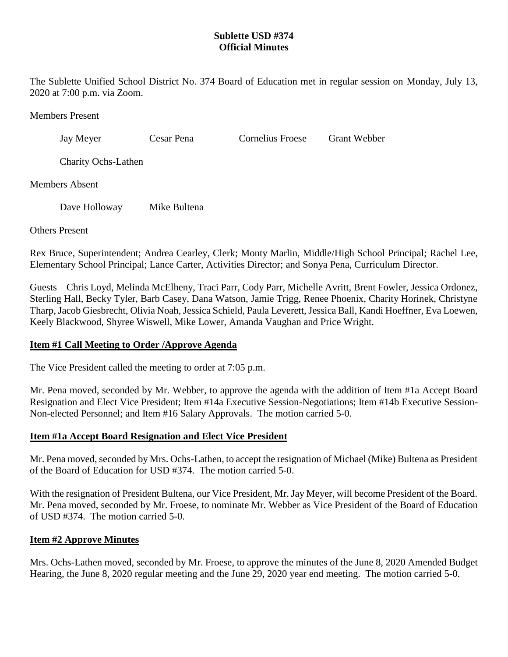## **Sublette USD #374 Official Minutes**

The Sublette Unified School District No. 374 Board of Education met in regular session on Monday, July 13, 2020 at 7:00 p.m. via Zoom.

Members Present

Jay Meyer Cesar Pena Cornelius Froese Grant Webber

Charity Ochs-Lathen

Members Absent

Dave Holloway Mike Bultena

Others Present

Rex Bruce, Superintendent; Andrea Cearley, Clerk; Monty Marlin, Middle/High School Principal; Rachel Lee, Elementary School Principal; Lance Carter, Activities Director; and Sonya Pena, Curriculum Director.

Guests – Chris Loyd, Melinda McElheny, Traci Parr, Cody Parr, Michelle Avritt, Brent Fowler, Jessica Ordonez, Sterling Hall, Becky Tyler, Barb Casey, Dana Watson, Jamie Trigg, Renee Phoenix, Charity Horinek, Christyne Tharp, Jacob Giesbrecht, Olivia Noah, Jessica Schield, Paula Leverett, Jessica Ball, Kandi Hoeffner, Eva Loewen, Keely Blackwood, Shyree Wiswell, Mike Lower, Amanda Vaughan and Price Wright.

## **Item #1 Call Meeting to Order /Approve Agenda**

The Vice President called the meeting to order at 7:05 p.m.

Mr. Pena moved, seconded by Mr. Webber, to approve the agenda with the addition of Item #1a Accept Board Resignation and Elect Vice President; Item #14a Executive Session-Negotiations; Item #14b Executive Session-Non-elected Personnel; and Item #16 Salary Approvals. The motion carried 5-0.

## **Item #1a Accept Board Resignation and Elect Vice President**

Mr. Pena moved, seconded by Mrs. Ochs-Lathen, to accept the resignation of Michael (Mike) Bultena as President of the Board of Education for USD #374. The motion carried 5-0.

With the resignation of President Bultena, our Vice President, Mr. Jay Meyer, will become President of the Board. Mr. Pena moved, seconded by Mr. Froese, to nominate Mr. Webber as Vice President of the Board of Education of USD #374. The motion carried 5-0.

## **Item #2 Approve Minutes**

Mrs. Ochs-Lathen moved, seconded by Mr. Froese, to approve the minutes of the June 8, 2020 Amended Budget Hearing, the June 8, 2020 regular meeting and the June 29, 2020 year end meeting. The motion carried 5-0.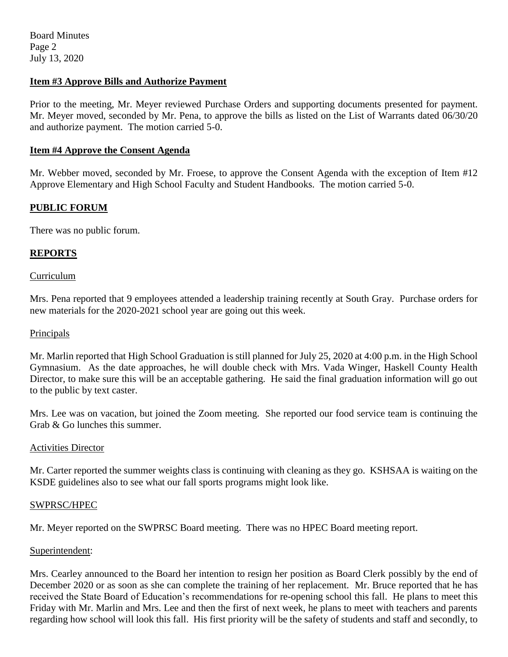## **Item #3 Approve Bills and Authorize Payment**

Prior to the meeting, Mr. Meyer reviewed Purchase Orders and supporting documents presented for payment. Mr. Meyer moved, seconded by Mr. Pena, to approve the bills as listed on the List of Warrants dated 06/30/20 and authorize payment. The motion carried 5-0.

### **Item #4 Approve the Consent Agenda**

Mr. Webber moved, seconded by Mr. Froese, to approve the Consent Agenda with the exception of Item #12 Approve Elementary and High School Faculty and Student Handbooks. The motion carried 5-0.

## **PUBLIC FORUM**

There was no public forum.

## **REPORTS**

### **Curriculum**

Mrs. Pena reported that 9 employees attended a leadership training recently at South Gray. Purchase orders for new materials for the 2020-2021 school year are going out this week.

### Principals

Mr. Marlin reported that High School Graduation is still planned for July 25, 2020 at 4:00 p.m. in the High School Gymnasium. As the date approaches, he will double check with Mrs. Vada Winger, Haskell County Health Director, to make sure this will be an acceptable gathering. He said the final graduation information will go out to the public by text caster.

Mrs. Lee was on vacation, but joined the Zoom meeting. She reported our food service team is continuing the Grab & Go lunches this summer.

### Activities Director

Mr. Carter reported the summer weights class is continuing with cleaning as they go. KSHSAA is waiting on the KSDE guidelines also to see what our fall sports programs might look like.

### SWPRSC/HPEC

Mr. Meyer reported on the SWPRSC Board meeting. There was no HPEC Board meeting report.

### Superintendent:

Mrs. Cearley announced to the Board her intention to resign her position as Board Clerk possibly by the end of December 2020 or as soon as she can complete the training of her replacement. Mr. Bruce reported that he has received the State Board of Education's recommendations for re-opening school this fall. He plans to meet this Friday with Mr. Marlin and Mrs. Lee and then the first of next week, he plans to meet with teachers and parents regarding how school will look this fall. His first priority will be the safety of students and staff and secondly, to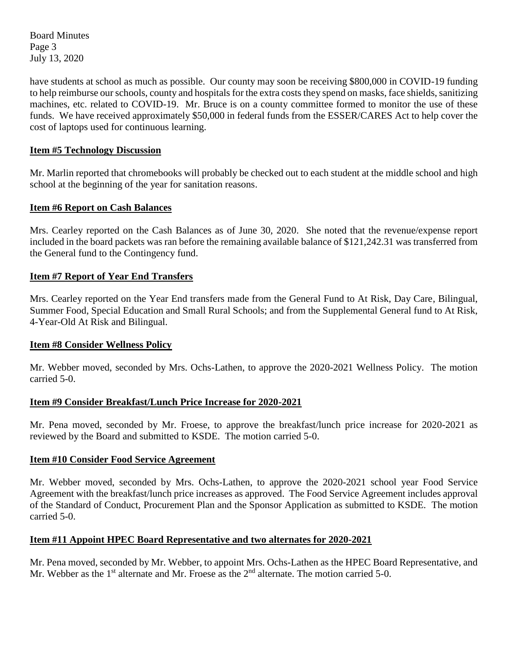Board Minutes Page 3 July 13, 2020

have students at school as much as possible. Our county may soon be receiving \$800,000 in COVID-19 funding to help reimburse our schools, county and hospitals for the extra costs they spend on masks, face shields, sanitizing machines, etc. related to COVID-19. Mr. Bruce is on a county committee formed to monitor the use of these funds. We have received approximately \$50,000 in federal funds from the ESSER/CARES Act to help cover the cost of laptops used for continuous learning.

## **Item #5 Technology Discussion**

Mr. Marlin reported that chromebooks will probably be checked out to each student at the middle school and high school at the beginning of the year for sanitation reasons.

### **Item #6 Report on Cash Balances**

Mrs. Cearley reported on the Cash Balances as of June 30, 2020. She noted that the revenue/expense report included in the board packets was ran before the remaining available balance of \$121,242.31 was transferred from the General fund to the Contingency fund.

### **Item #7 Report of Year End Transfers**

Mrs. Cearley reported on the Year End transfers made from the General Fund to At Risk, Day Care, Bilingual, Summer Food, Special Education and Small Rural Schools; and from the Supplemental General fund to At Risk, 4-Year-Old At Risk and Bilingual.

### **Item #8 Consider Wellness Policy**

Mr. Webber moved, seconded by Mrs. Ochs-Lathen, to approve the 2020-2021 Wellness Policy. The motion carried 5-0.

## **Item #9 Consider Breakfast/Lunch Price Increase for 2020-2021**

Mr. Pena moved, seconded by Mr. Froese, to approve the breakfast/lunch price increase for 2020-2021 as reviewed by the Board and submitted to KSDE. The motion carried 5-0.

### **Item #10 Consider Food Service Agreement**

Mr. Webber moved, seconded by Mrs. Ochs-Lathen, to approve the 2020-2021 school year Food Service Agreement with the breakfast/lunch price increases as approved. The Food Service Agreement includes approval of the Standard of Conduct, Procurement Plan and the Sponsor Application as submitted to KSDE. The motion carried 5-0.

## **Item #11 Appoint HPEC Board Representative and two alternates for 2020-2021**

Mr. Pena moved, seconded by Mr. Webber, to appoint Mrs. Ochs-Lathen as the HPEC Board Representative, and Mr. Webber as the  $1<sup>st</sup>$  alternate and Mr. Froese as the  $2<sup>nd</sup>$  alternate. The motion carried 5-0.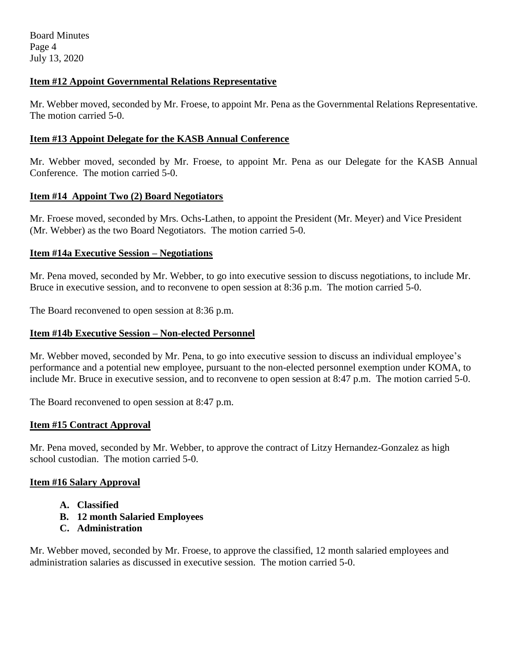## **Item #12 Appoint Governmental Relations Representative**

Mr. Webber moved, seconded by Mr. Froese, to appoint Mr. Pena as the Governmental Relations Representative. The motion carried 5-0.

### **Item #13 Appoint Delegate for the KASB Annual Conference**

Mr. Webber moved, seconded by Mr. Froese, to appoint Mr. Pena as our Delegate for the KASB Annual Conference. The motion carried 5-0.

### **Item #14 Appoint Two (2) Board Negotiators**

Mr. Froese moved, seconded by Mrs. Ochs-Lathen, to appoint the President (Mr. Meyer) and Vice President (Mr. Webber) as the two Board Negotiators. The motion carried 5-0.

### **Item #14a Executive Session – Negotiations**

Mr. Pena moved, seconded by Mr. Webber, to go into executive session to discuss negotiations, to include Mr. Bruce in executive session, and to reconvene to open session at 8:36 p.m. The motion carried 5-0.

The Board reconvened to open session at 8:36 p.m.

## **Item #14b Executive Session – Non-elected Personnel**

Mr. Webber moved, seconded by Mr. Pena, to go into executive session to discuss an individual employee's performance and a potential new employee, pursuant to the non-elected personnel exemption under KOMA, to include Mr. Bruce in executive session, and to reconvene to open session at 8:47 p.m. The motion carried 5-0.

The Board reconvened to open session at 8:47 p.m.

### **Item #15 Contract Approval**

Mr. Pena moved, seconded by Mr. Webber, to approve the contract of Litzy Hernandez-Gonzalez as high school custodian. The motion carried 5-0.

### **Item #16 Salary Approval**

- **A. Classified**
- **B. 12 month Salaried Employees**
- **C. Administration**

Mr. Webber moved, seconded by Mr. Froese, to approve the classified, 12 month salaried employees and administration salaries as discussed in executive session. The motion carried 5-0.